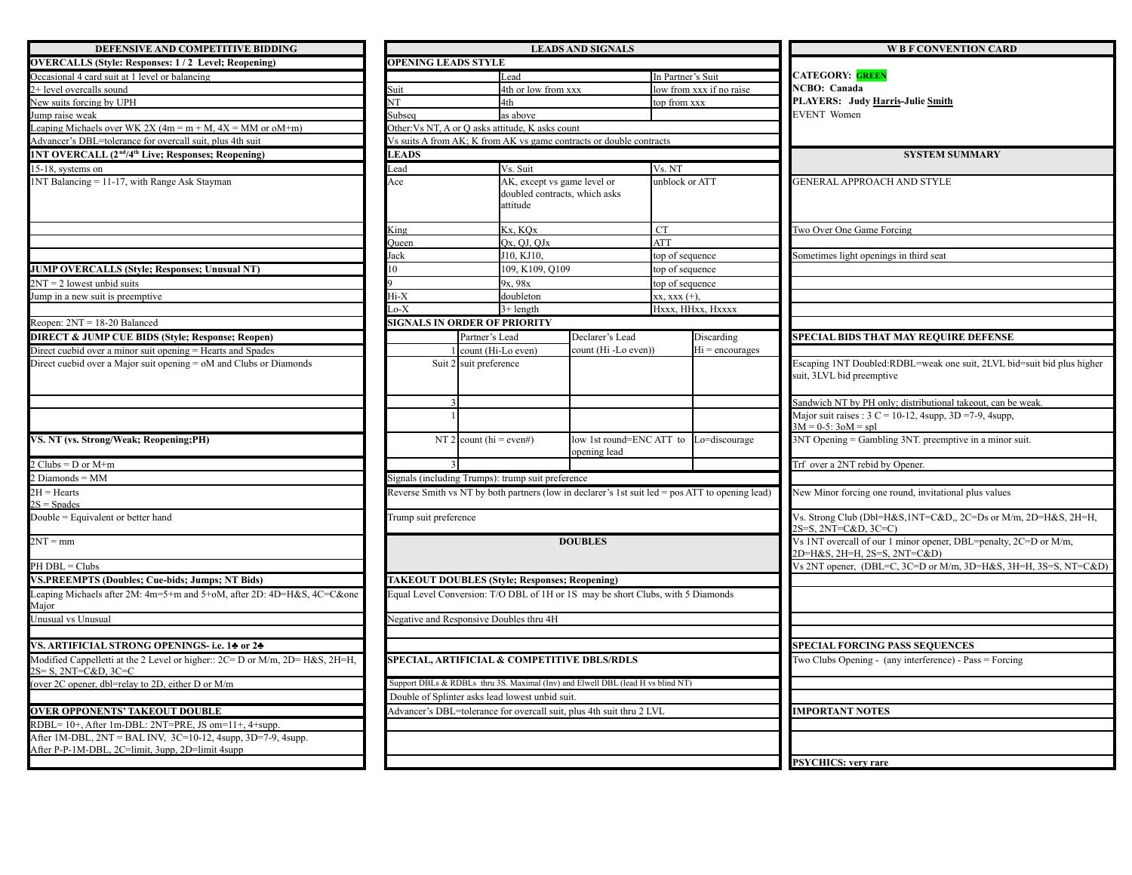| DEFENSIVE AND COMPETITIVE BIDDING                                                                                              | <b>LEADS AND SIGNALS</b>            |                         |                                                                          |                                                                                   |                     |          |  |  |
|--------------------------------------------------------------------------------------------------------------------------------|-------------------------------------|-------------------------|--------------------------------------------------------------------------|-----------------------------------------------------------------------------------|---------------------|----------|--|--|
| <b>OVERCALLS (Style: Responses: 1/2 Level; Reopening)</b>                                                                      | <b>OPENING LEADS STYLE</b>          |                         |                                                                          |                                                                                   |                     |          |  |  |
| Occasional 4 card suit at 1 level or balancing                                                                                 |                                     |                         | Lead                                                                     |                                                                                   | In Partner's Sui    |          |  |  |
| 2+ level overcalls sound                                                                                                       | Suit                                |                         | 4th or low from xxx                                                      |                                                                                   | low from xxx if     |          |  |  |
| New suits forcing by UPH                                                                                                       | NT                                  |                         | 4th                                                                      |                                                                                   | top from xxx        |          |  |  |
| Jump raise weak                                                                                                                | Subsea                              |                         | as above                                                                 |                                                                                   |                     |          |  |  |
| Leaping Michaels over WK 2X $(4m = m + M, 4X = MM$ or oM+m)                                                                    |                                     |                         | Other: Vs NT, A or Q asks attitude, K asks count                         |                                                                                   |                     |          |  |  |
| Advancer's DBL=tolerance for overcall suit, plus 4th suit                                                                      |                                     |                         |                                                                          | Vs suits A from AK; K from AK vs game contracts or double contracts               |                     |          |  |  |
| 1NT OVERCALL (2 <sup>nd</sup> /4 <sup>th</sup> Live; Responses; Reopening)                                                     | <b>LEADS</b>                        |                         |                                                                          |                                                                                   |                     |          |  |  |
| 15-18, systems on                                                                                                              | Lead                                |                         | Vs. Suit                                                                 |                                                                                   | Vs. NT              |          |  |  |
| 1NT Balancing = 11-17, with Range Ask Stayman                                                                                  | Ace                                 |                         | AK, except vs game level or<br>doubled contracts, which asks<br>attitude |                                                                                   | unblock or ATT      |          |  |  |
|                                                                                                                                | King<br>Queen<br>Jack               |                         | Kx. KOx                                                                  | <b>CT</b>                                                                         |                     |          |  |  |
|                                                                                                                                |                                     |                         | Ox, OJ, OJx                                                              |                                                                                   | <b>ATT</b>          |          |  |  |
|                                                                                                                                |                                     |                         | J10, KJ10,                                                               |                                                                                   | top of sequence     |          |  |  |
| <b>JUMP OVERCALLS (Style; Responses; Unusual NT)</b>                                                                           | 10                                  |                         | 109, K109, Q109                                                          |                                                                                   | top of sequence     |          |  |  |
| $2NT = 2$ lowest unbid suits                                                                                                   |                                     |                         | 9x. 98x                                                                  |                                                                                   | top of sequence     |          |  |  |
| Jump in a new suit is preemptive                                                                                               | Hi-X                                |                         | doubleton                                                                |                                                                                   | $xx,$ $xxx$ $(+)$ , |          |  |  |
|                                                                                                                                | $\rm{.0-X}$                         |                         | $3+$ length                                                              |                                                                                   | Hxxx, HHxx, H       |          |  |  |
| Reopen: $2NT = 18-20$ Balanced                                                                                                 | <b>SIGNALS IN ORDER OF PRIORITY</b> |                         |                                                                          |                                                                                   |                     |          |  |  |
| <b>DIRECT &amp; JUMP CUE BIDS (Style; Response; Reopen)</b>                                                                    |                                     | Partner's Lead          |                                                                          | Declarer's Lead                                                                   |                     | Disca    |  |  |
| Direct cuebid over a minor suit opening = Hearts and Spades                                                                    |                                     |                         | count (Hi-Lo even)                                                       | count (Hi -Lo even))                                                              |                     | $Hi = c$ |  |  |
|                                                                                                                                |                                     |                         |                                                                          |                                                                                   |                     |          |  |  |
| VS. NT (vs. Strong/Weak; Reopening;PH)                                                                                         |                                     | NT 2 count (hi = even#) |                                                                          | low 1st round=ENC ATT to<br>opening lead                                          |                     | $Lo = d$ |  |  |
| $2$ Clubs = D or M+m                                                                                                           |                                     |                         |                                                                          |                                                                                   |                     |          |  |  |
| $2$ Diamonds = MM                                                                                                              |                                     |                         | Signals (including Trumps): trump suit preference                        |                                                                                   |                     |          |  |  |
| $2H = Hearts$                                                                                                                  |                                     |                         |                                                                          | Reverse Smith vs NT by both partners (low in declarer's 1st suit led = pos ATT to |                     |          |  |  |
| $2S = Spades$                                                                                                                  |                                     |                         |                                                                          |                                                                                   |                     |          |  |  |
| Double = Equivalent or better hand                                                                                             | Trump suit preference               |                         |                                                                          |                                                                                   |                     |          |  |  |
| $2NT = mm$                                                                                                                     |                                     |                         |                                                                          | <b>DOUBLES</b>                                                                    |                     |          |  |  |
| PH DBL = Clubs                                                                                                                 |                                     |                         |                                                                          |                                                                                   |                     |          |  |  |
| <b>VS.PREEMPTS (Doubles; Cue-bids; Jumps; NT Bids)</b>                                                                         |                                     |                         | <b>TAKEOUT DOUBLES (Style; Responses; Reopening)</b>                     |                                                                                   |                     |          |  |  |
| Leaping Michaels after 2M: 4m=5+m and 5+oM, after 2D: 4D=H&S, 4C=C&one<br>Major                                                |                                     |                         |                                                                          | Equal Level Conversion: T/O DBL of 1H or 1S may be short Clubs, with 5 Diamo      |                     |          |  |  |
| Unusual vs Unusual                                                                                                             |                                     |                         | Negative and Responsive Doubles thru 4H                                  |                                                                                   |                     |          |  |  |
| VS. ARTIFICIAL STRONG OPENINGS- i.e. 14 or 24                                                                                  |                                     |                         |                                                                          |                                                                                   |                     |          |  |  |
| Modified Cappelletti at the 2 Level or higher:: 2C= D or M/m, 2D= H&S, 2H=H,<br>$2S = S$ . $2NT = C&D$ . $3C = C$              |                                     |                         |                                                                          | <b>SPECIAL, ARTIFICIAL &amp; COMPETITIVE DBLS/RDLS</b>                            |                     |          |  |  |
| (over 2C opener, dbl=relay to 2D, either D or M/m                                                                              |                                     |                         |                                                                          | Support DBLs & RDBLs thru 3S. Maximal (Inv) and Elwell DBL (lead H vs blind NT)   |                     |          |  |  |
|                                                                                                                                |                                     |                         | Double of Splinter asks lead lowest unbid suit.                          |                                                                                   |                     |          |  |  |
| <b>OVER OPPONENTS' TAKEOUT DOUBLE</b>                                                                                          |                                     |                         |                                                                          | Advancer's DBL=tolerance for overcall suit, plus 4th suit thru 2 LVL              |                     |          |  |  |
| RDBL= 10+, After 1m-DBL: 2NT=PRE, JS om=11+, 4+supp.                                                                           |                                     |                         |                                                                          |                                                                                   |                     |          |  |  |
| After 1M-DBL, $2NT = BAL$ INV, $3C=10-12$ , $4supp$ , $3D=7-9$ , $4supp$ .<br>After P-P-1M-DBL, 2C=limit, 3upp, 2D=limit 4supp |                                     |                         |                                                                          |                                                                                   |                     |          |  |  |
|                                                                                                                                |                                     |                         |                                                                          |                                                                                   |                     |          |  |  |

| DEFENSIVE AND COMPETITIVE BIDDING                                                                                              | <b>LEADS AND SIGNALS</b>                                                                                                                             |                         |                                                                          |                                                                      |                          |                                                                | <b>W B F CONVENTION CARD</b>                                                                                                                                        |  |  |  |
|--------------------------------------------------------------------------------------------------------------------------------|------------------------------------------------------------------------------------------------------------------------------------------------------|-------------------------|--------------------------------------------------------------------------|----------------------------------------------------------------------|--------------------------|----------------------------------------------------------------|---------------------------------------------------------------------------------------------------------------------------------------------------------------------|--|--|--|
| <b>OVERCALLS (Style: Responses: 1/2 Level; Reopening)</b>                                                                      | <b>OPENING LEADS STYLE</b>                                                                                                                           |                         |                                                                          |                                                                      |                          |                                                                |                                                                                                                                                                     |  |  |  |
| Occasional 4 card suit at 1 level or balancing                                                                                 |                                                                                                                                                      |                         | Lead                                                                     |                                                                      | In Partner's Suit        |                                                                | CATEGORY: <mark>GREEN</mark>                                                                                                                                        |  |  |  |
| 2+ level overcalls sound                                                                                                       | Suit                                                                                                                                                 |                         | 4th or low from xxx                                                      |                                                                      | low from xxx if no raise |                                                                | <b>NCBO</b> : Canada                                                                                                                                                |  |  |  |
| New suits forcing by UPH                                                                                                       | <b>NT</b>                                                                                                                                            |                         | 4th                                                                      |                                                                      | top from xxx             |                                                                | PLAYERS: Judy Harris-Julie Smith                                                                                                                                    |  |  |  |
| Jump raise weak                                                                                                                | Subseq<br>as above                                                                                                                                   |                         |                                                                          | <b>EVENT</b> Women                                                   |                          |                                                                |                                                                                                                                                                     |  |  |  |
| Leaping Michaels over WK 2X $(4m = m + M, 4X = MM)$ or $oM+m$ )                                                                |                                                                                                                                                      |                         | Other: Vs NT, A or Q asks attitude, K asks count                         |                                                                      |                          |                                                                |                                                                                                                                                                     |  |  |  |
| Advancer's DBL=tolerance for overcall suit, plus 4th suit                                                                      |                                                                                                                                                      |                         |                                                                          | Vs suits A from AK; K from AK vs game contracts or double contracts  |                          |                                                                |                                                                                                                                                                     |  |  |  |
| 1NT OVERCALL (2 <sup>nd</sup> /4 <sup>th</sup> Live; Responses; Reopening)                                                     | <b>LEADS</b>                                                                                                                                         |                         |                                                                          |                                                                      |                          |                                                                | <b>SYSTEM SUMMARY</b>                                                                                                                                               |  |  |  |
| 15-18, systems on                                                                                                              | Vs. Suit<br>Vs. NT<br>ead                                                                                                                            |                         |                                                                          |                                                                      |                          |                                                                |                                                                                                                                                                     |  |  |  |
| 1NT Balancing = 11-17, with Range Ask Stayman                                                                                  | Ace                                                                                                                                                  |                         | AK, except vs game level or<br>doubled contracts, which asks<br>attitude |                                                                      | unblock or ATT           |                                                                | <b>GENERAL APPROACH AND STYLE</b>                                                                                                                                   |  |  |  |
|                                                                                                                                | <b>King</b>                                                                                                                                          |                         | Kx. KOx                                                                  |                                                                      | CT                       |                                                                | Two Over One Game Forcing                                                                                                                                           |  |  |  |
|                                                                                                                                | Oueen                                                                                                                                                |                         | Ox. OJ. OJx<br><b>ATT</b>                                                |                                                                      |                          |                                                                |                                                                                                                                                                     |  |  |  |
|                                                                                                                                | Jack                                                                                                                                                 |                         | J10. KJ10.                                                               | top of sequence                                                      |                          |                                                                | ometimes light openings in third seat                                                                                                                               |  |  |  |
| <b>JUMP OVERCALLS (Style; Responses; Unusual NT)</b>                                                                           | 10                                                                                                                                                   |                         | 109, K109, Q109                                                          |                                                                      | top of sequence          |                                                                |                                                                                                                                                                     |  |  |  |
| $2NT = 2$ lowest unbid suits                                                                                                   |                                                                                                                                                      |                         | 9x, 98x                                                                  |                                                                      | top of sequence          |                                                                |                                                                                                                                                                     |  |  |  |
| Jump in a new suit is preemptive                                                                                               | Ii-X                                                                                                                                                 |                         | doubleton                                                                |                                                                      | $XX$ , $XXX$ $(+)$ ,     |                                                                |                                                                                                                                                                     |  |  |  |
|                                                                                                                                | $\alpha$ -X                                                                                                                                          |                         | $3+$ length                                                              |                                                                      |                          | Hxxx, HHxx, Hxxxx                                              |                                                                                                                                                                     |  |  |  |
| Reopen: $2NT = 18-20$ Balanced                                                                                                 | SIGNALS IN ORDER OF PRIORITY                                                                                                                         |                         |                                                                          |                                                                      |                          |                                                                |                                                                                                                                                                     |  |  |  |
| <b>DIRECT &amp; JUMP CUE BIDS (Style: Response: Reopen)</b>                                                                    |                                                                                                                                                      | Partner's Lead          |                                                                          | Declarer's Lead                                                      |                          | Discarding                                                     | <b>SPECIAL BIDS THAT MAY REQUIRE DEFENSE</b>                                                                                                                        |  |  |  |
| Direct cuebid over a minor suit opening = Hearts and Spades                                                                    |                                                                                                                                                      | count (Hi-Lo even)      |                                                                          | count (Hi-Lo even))                                                  |                          | $Hi = \text{encourages}$                                       |                                                                                                                                                                     |  |  |  |
| Direct cuebid over a Major suit opening = oM and Clubs or Diamonds                                                             |                                                                                                                                                      | Suit 2 suit preference  |                                                                          |                                                                      |                          |                                                                | Escaping 1NT Doubled: RDBL=weak one suit, 2LVL bid=suit bid plus higher                                                                                             |  |  |  |
|                                                                                                                                |                                                                                                                                                      |                         |                                                                          |                                                                      |                          |                                                                | suit, 3LVL bid preemptive<br>Sandwich NT by PH only; distributional takeout, can be weak.<br>Major suit raises : $3 \text{ C} = 10-12$ , 4supp, $3D = 7-9$ , 4supp, |  |  |  |
| VS. NT (vs. Strong/Weak; Reopening;PH)                                                                                         |                                                                                                                                                      | NT 2 count (hi = even#) |                                                                          | low 1st round=ENC ATT to Lo=discourage                               |                          |                                                                | $3M = 0-5$ : $30M = spl$<br>3NT Opening = Gambling 3NT. preemptive in a minor suit.                                                                                 |  |  |  |
| $2 \text{ Clubs} = D \text{ or } M+m$                                                                                          |                                                                                                                                                      |                         |                                                                          | opening lead                                                         |                          |                                                                | Trf over a 2NT rebid by Opener.                                                                                                                                     |  |  |  |
| $2$ Diamonds = MM                                                                                                              |                                                                                                                                                      |                         |                                                                          |                                                                      |                          |                                                                |                                                                                                                                                                     |  |  |  |
| $2H = Hearts$                                                                                                                  | Signals (including Trumps): trump suit preference<br>Reverse Smith vs NT by both partners (low in declarer's 1st suit led = pos ATT to opening lead) |                         |                                                                          |                                                                      |                          | New Minor forcing one round, invitational plus values          |                                                                                                                                                                     |  |  |  |
| $2S = Spades$<br>Double = Equivalent or better hand                                                                            | Trump suit preference                                                                                                                                |                         |                                                                          |                                                                      |                          | Vs. Strong Club (Dbl=H&S,1NT=C&D,, 2C=Ds or M/m, 2D=H&S, 2H=H, |                                                                                                                                                                     |  |  |  |
| $2NT = mm$                                                                                                                     | <b>DOUBLES</b>                                                                                                                                       |                         |                                                                          |                                                                      |                          |                                                                | $2S = S$ , $2NT = C&D$ , $3C = C$ )<br>Vs 1NT overcall of our 1 minor opener, DBL=penalty, 2C=D or M/m,<br>2D=H&S, 2H=H, 2S=S, 2NT=C&D)                             |  |  |  |
| PH DBL = Clubs                                                                                                                 |                                                                                                                                                      |                         |                                                                          |                                                                      |                          |                                                                | Vs 2NT opener, (DBL=C, 3C=D or M/m, 3D=H&S, 3H=H, 3S=S, NT=C&D)                                                                                                     |  |  |  |
| <b>VS.PREEMPTS (Doubles; Cue-bids; Jumps; NT Bids)</b>                                                                         |                                                                                                                                                      |                         |                                                                          |                                                                      |                          |                                                                |                                                                                                                                                                     |  |  |  |
| Leaping Michaels after 2M: 4m=5+m and 5+oM, after 2D: 4D=H&S, 4C=C&one<br>Major                                                | <b>TAKEOUT DOUBLES (Style; Responses; Reopening)</b><br>Equal Level Conversion: T/O DBL of 1H or 1S may be short Clubs, with 5 Diamonds              |                         |                                                                          |                                                                      |                          |                                                                |                                                                                                                                                                     |  |  |  |
| Unusual vs Unusual                                                                                                             | <b>Negative and Responsive Doubles thru 4H</b>                                                                                                       |                         |                                                                          |                                                                      |                          |                                                                |                                                                                                                                                                     |  |  |  |
|                                                                                                                                |                                                                                                                                                      |                         |                                                                          |                                                                      |                          |                                                                |                                                                                                                                                                     |  |  |  |
| VS. ARTIFICIAL STRONG OPENINGS- i.e. 14 or 24                                                                                  |                                                                                                                                                      |                         |                                                                          |                                                                      |                          |                                                                | <b>SPECIAL FORCING PASS SEQUENCES</b>                                                                                                                               |  |  |  |
| Modified Cappelletti at the 2 Level or higher:: 2C= D or M/m, 2D= H&S, 2H=H,<br>2S= S, 2NT=C&D, 3C=C                           | <b>SPECIAL, ARTIFICIAL &amp; COMPETITIVE DBLS/RDLS</b>                                                                                               |                         |                                                                          |                                                                      |                          | Two Clubs Opening - (any interference) - Pass = Forcing        |                                                                                                                                                                     |  |  |  |
| (over 2C opener, dbl=relay to 2D, either D or M/m                                                                              | Support DBLs & RDBLs thru 3S. Maximal (Inv) and Elwell DBL (lead H vs blind NT)                                                                      |                         |                                                                          |                                                                      |                          |                                                                |                                                                                                                                                                     |  |  |  |
|                                                                                                                                | Double of Splinter asks lead lowest unbid suit.                                                                                                      |                         |                                                                          |                                                                      |                          |                                                                |                                                                                                                                                                     |  |  |  |
| <b>OVER OPPONENTS' TAKEOUT DOUBLE</b>                                                                                          |                                                                                                                                                      |                         |                                                                          | Advancer's DBL=tolerance for overcall suit, plus 4th suit thru 2 LVL |                          |                                                                | <b>IMPORTANT NOTES</b>                                                                                                                                              |  |  |  |
| $RDBL = 10+$ , After 1m-DBL: $2NT = PRE$ , JS om= $11+$ , 4+supp.                                                              |                                                                                                                                                      |                         |                                                                          |                                                                      |                          |                                                                |                                                                                                                                                                     |  |  |  |
| After 1M-DBL, $2NT = BAL$ INV, $3C=10-12$ , $4supp$ , $3D=7-9$ , $4supp$ .<br>After P-P-1M-DBL, 2C=limit, 3upp, 2D=limit 4supp |                                                                                                                                                      |                         |                                                                          |                                                                      |                          |                                                                |                                                                                                                                                                     |  |  |  |
|                                                                                                                                |                                                                                                                                                      |                         |                                                                          |                                                                      |                          |                                                                | <b>PSYCHICS: very rare</b>                                                                                                                                          |  |  |  |